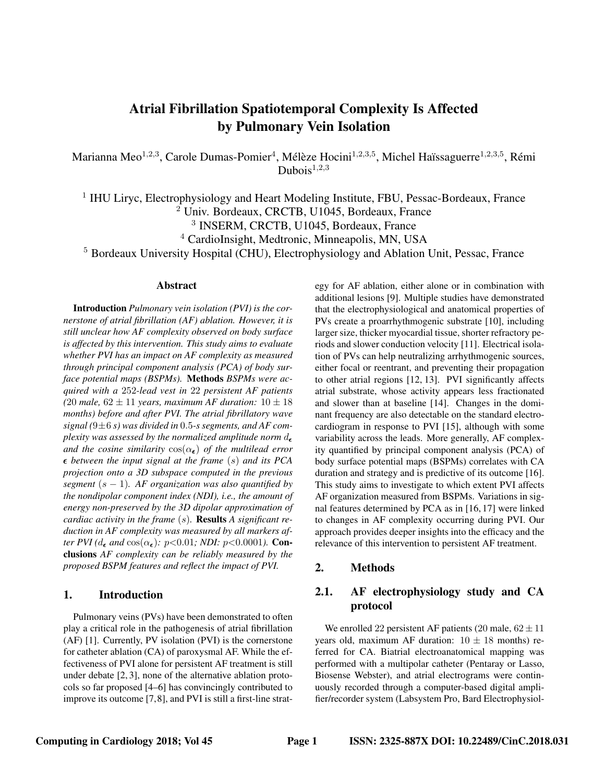# **Atrial Fibrillation Spatiotemporal Complexity Is Affected** by Pulmonary Vein Isolation

Marianna Meo<sup>1,2,3</sup>, Carole Dumas-Pomier<sup>4</sup>, Mélèze Hocini<sup>1,2,3,5</sup>, Michel Haïssaguerre<sup>1,2,3,5</sup>, Rémi Dubois<sup>1,2,3</sup>

<sup>1</sup> IHU Liryc, Electrophysiology and Heart Modeling Institute, FBU, Pessac-Bordeaux, France <sup>2</sup> Univ. Bordeaux, CRCTB, U1045, Bordeaux, France <sup>3</sup> INSERM, CRCTB, U1045, Bordeaux, France <sup>4</sup> CardioInsight, Medtronic, Minneapolis, MN, USA

<sup>5</sup> Bordeaux University Hospital (CHU), Electrophysiology and Ablation Unit, Pessac, France

#### Abstract

**Introduction** Pulmonary vein isolation (PVI) is the cornerstone of atrial fibrillation (AF) ablation. However, it is still unclear how AF complexity observed on body surface is affected by this intervention. This study aims to evaluate whether PVI has an impact on AF complexity as measured through principal component analysis (PCA) of body surface potential maps (BSPMs). Methods BSPMs were acquired with a 252-lead vest in 22 persistent AF patients (20 male,  $62 \pm 11$  years, maximum AF duration:  $10 \pm 18$ months) before and after PVI. The atrial fibrillatory wave signal  $(9 \pm 6 s)$  was divided in 0.5-s segments, and AF complexity was assessed by the normalized amplitude norm  $d_{\epsilon}$ and the cosine similarity  $cos(\alpha_{\epsilon})$  of the multilead error  $\epsilon$  between the input signal at the frame (s) and its PCA projection onto a 3D subspace computed in the previous segment  $(s - 1)$ . AF organization was also quantified by the nondipolar component index (NDI), i.e., the amount of energy non-preserved by the 3D dipolar approximation of cardiac activity in the frame  $(s)$ . Results A significant reduction in AF complexity was measured by all markers after PVI ( $d_{\epsilon}$  and  $\cos(\alpha_{\epsilon})$ : p<0.01; NDI: p<0.0001). Conclusions AF complexity can be reliably measured by the proposed BSPM features and reflect the impact of PVI.

#### $1.$ **Introduction**

Pulmonary veins (PVs) have been demonstrated to often play a critical role in the pathogenesis of atrial fibrillation (AF) [1]. Currently, PV isolation (PVI) is the cornerstone for catheter ablation (CA) of paroxysmal AF. While the effectiveness of PVI alone for persistent AF treatment is still under debate [2, 3], none of the alternative ablation protocols so far proposed [4–6] has convincingly contributed to improve its outcome [7,8], and PVI is still a first-line strategy for AF ablation, either alone or in combination with additional lesions [9]. Multiple studies have demonstrated that the electrophysiological and anatomical properties of PVs create a proarrhythmogenic substrate [10], including larger size, thicker myocardial tissue, shorter refractory periods and slower conduction velocity [11]. Electrical isolation of PVs can help neutralizing arrhythmogenic sources, either focal or reentrant, and preventing their propagation to other atrial regions [12, 13]. PVI significantly affects atrial substrate, whose activity appears less fractionated and slower than at baseline [14]. Changes in the dominant frequency are also detectable on the standard electrocardiogram in response to PVI [15], although with some variability across the leads. More generally, AF complexity quantified by principal component analysis (PCA) of body surface potential maps (BSPMs) correlates with CA duration and strategy and is predictive of its outcome [16]. This study aims to investigate to which extent PVI affects AF organization measured from BSPMs. Variations in signal features determined by PCA as in [16, 17] were linked to changes in AF complexity occurring during PVI. Our approach provides deeper insights into the efficacy and the relevance of this intervention to persistent AF treatment.

#### $2.$ Methods

#### $2.1.$ AF electrophysiology study and CA protocol

We enrolled 22 persistent AF patients (20 male,  $62 \pm 11$ ) years old, maximum AF duration:  $10 \pm 18$  months) referred for CA. Biatrial electroanatomical mapping was performed with a multipolar catheter (Pentaray or Lasso, Biosense Webster), and atrial electrograms were continuously recorded through a computer-based digital amplifier/recorder system (Labsystem Pro, Bard Electrophysiol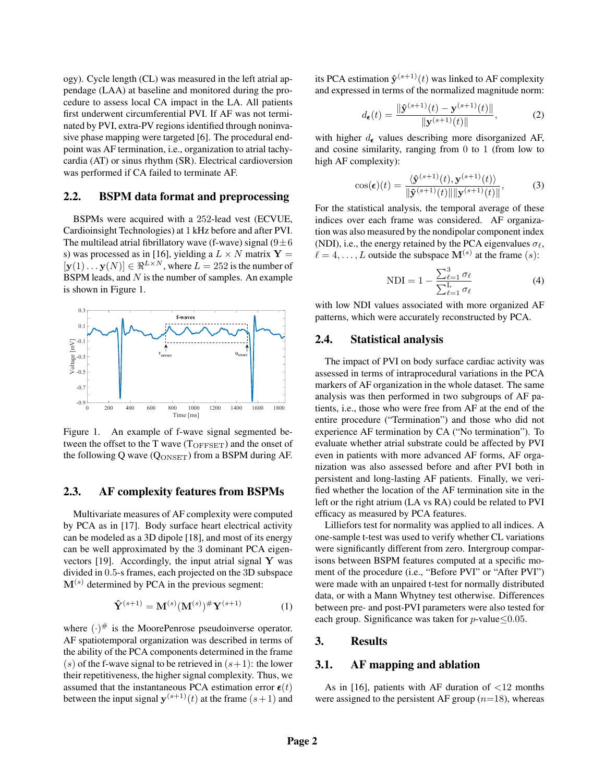ogy). Cycle length (CL) was measured in the left atrial appendage (LAA) at baseline and monitored during the procedure to assess local CA impact in the LA. All patients first underwent circumferential PVI. If AF was not terminated by PVI, extra-PV regions identified through noninvasive phase mapping were targeted [6]. The procedural endpoint was AF termination, i.e., organization to atrial tachycardia (AT) or sinus rhythm (SR). Electrical cardioversion was performed if CA failed to terminate AF.

### 2.2. BSPM data format and preprocessing

BSPMs were acquired with a 252-lead vest (ECVUE, Cardioinsight Technologies) at 1 kHz before and after PVI. The multilead atrial fibrillatory wave (f-wave) signal  $(9 \pm 6)$ s) was processed as in [16], yielding a  $L \times N$  matrix  $Y =$  $[\mathbf{y}(1) \dots \mathbf{y}(N)] \in \Re^{L \times N}$ , where  $L = 252$  is the number of BSPM leads, and  $N$  is the number of samples. An example is shown in Figure 1.



Figure 1. An example of f-wave signal segmented between the offset to the T wave  $(T<sub>OFFSET</sub>)$  and the onset of the following Q wave  $(Q_{\text{ONSET}})$  from a BSPM during AF.

## 2.3. AF complexity features from BSPMs

Multivariate measures of AF complexity were computed by PCA as in [17]. Body surface heart electrical activity can be modeled as a 3D dipole [18], and most of its energy can be well approximated by the 3 dominant PCA eigenvectors  $[19]$ . Accordingly, the input atrial signal Y was divided in 0.5-s frames, each projected on the 3D subspace  $M^{(s)}$  determined by PCA in the previous segment:

$$
\hat{\mathbf{Y}}^{(s+1)} = \mathbf{M}^{(s)}(\mathbf{M}^{(s)})^{\#}\mathbf{Y}^{(s+1)}
$$
(1)

where  $(\cdot)^\#$  is the MoorePenrose pseudoinverse operator. AF spatiotemporal organization was described in terms of the ability of the PCA components determined in the frame (s) of the f-wave signal to be retrieved in  $(s+1)$ : the lower their repetitiveness, the higher signal complexity. Thus, we assumed that the instantaneous PCA estimation error  $\epsilon(t)$ between the input signal  $y^{(s+1)}(t)$  at the frame  $(s+1)$  and

its PCA estimation  $\mathbf{\hat{y}}^{(s+1)}(t)$  was linked to AF complexity and expressed in terms of the normalized magnitude norm:

$$
d_{\epsilon}(t) = \frac{\|\hat{\mathbf{y}}^{(s+1)}(t) - \mathbf{y}^{(s+1)}(t)\|}{\|\mathbf{y}^{(s+1)}(t)\|},
$$
 (2)

with higher  $d_{\epsilon}$  values describing more disorganized AF, and cosine similarity, ranging from 0 to 1 (from low to high AF complexity):

$$
\cos(\boldsymbol{\epsilon})(t) = \frac{\langle \hat{\mathbf{y}}^{(s+1)}(t), \mathbf{y}^{(s+1)}(t) \rangle}{\|\hat{\mathbf{y}}^{(s+1)}(t)\| \|\mathbf{y}^{(s+1)}(t)\|},\tag{3}
$$

For the statistical analysis, the temporal average of these indices over each frame was considered. AF organization was also measured by the nondipolar component index (NDI), i.e., the energy retained by the PCA eigenvalues  $\sigma_{\ell}$ ,  $\ell = 4, \ldots, L$  outside the subspace  $\mathbf{M}^{(s)}$  at the frame  $(s)$ :

$$
NDI = 1 - \frac{\sum_{\ell=1}^{3} \sigma_{\ell}}{\sum_{\ell=1}^{L} \sigma_{\ell}}
$$
\n(4)

with low NDI values associated with more organized AF patterns, which were accurately reconstructed by PCA.

#### 2.4. Statistical analysis

The impact of PVI on body surface cardiac activity was assessed in terms of intraprocedural variations in the PCA markers of AF organization in the whole dataset. The same analysis was then performed in two subgroups of AF patients, i.e., those who were free from AF at the end of the entire procedure ("Termination") and those who did not experience AF termination by CA ("No termination"). To evaluate whether atrial substrate could be affected by PVI even in patients with more advanced AF forms, AF organization was also assessed before and after PVI both in persistent and long-lasting AF patients. Finally, we verified whether the location of the AF termination site in the left or the right atrium (LA vs RA) could be related to PVI efficacy as measured by PCA features.

Lilliefors test for normality was applied to all indices. A one-sample t-test was used to verify whether CL variations were significantly different from zero. Intergroup comparisons between BSPM features computed at a specific moment of the procedure (i.e., "Before PVI" or "After PVI") were made with an unpaired t-test for normally distributed data, or with a Mann Whytney test otherwise. Differences between pre- and post-PVI parameters were also tested for each group. Significance was taken for  $p$ -value  $\leq 0.05$ .

## 3. Results

#### 3.1. AF mapping and ablation

As in [16], patients with AF duration of  $\langle 12 \rangle$  months were assigned to the persistent AF group  $(n=18)$ , whereas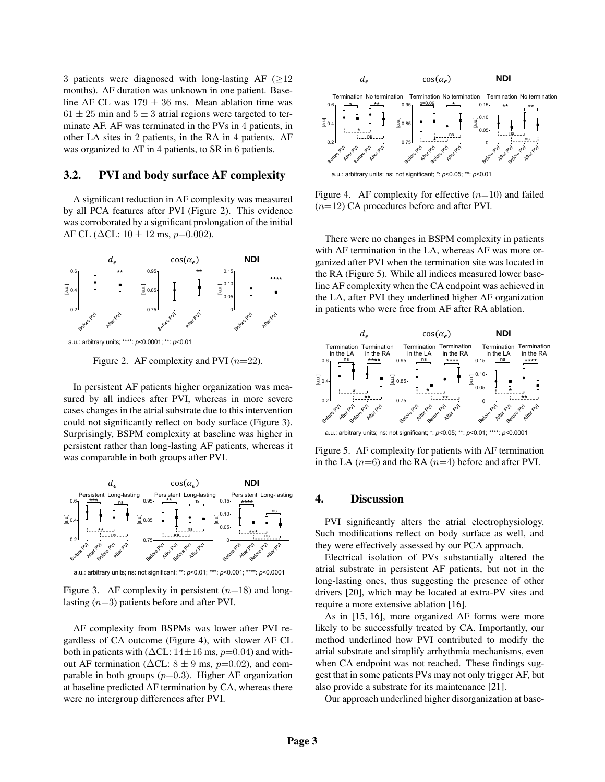3 patients were diagnosed with long-lasting  $AF$  ( $>12$ ) months). AF duration was unknown in one patient. Baseline AF CL was  $179 \pm 36$  ms. Mean ablation time was  $61 \pm 25$  min and  $5 \pm 3$  atrial regions were targeted to terminate AF. AF was terminated in the PVs in 4 patients, in other LA sites in 2 patients, in the RA in 4 patients. AF was organized to AT in 4 patients, to SR in 6 patients.

### 3.2. PVI and body surface AF complexity

A significant reduction in AF complexity was measured by all PCA features after PVI (Figure 2). This evidence was corroborated by a significant prolongation of the initial AF CL ( $\Delta$ CL: 10  $\pm$  12 ms, p=0.002).



a.u.: arbitrary units; \*\*\*\*: *p*<0.0001; \*\*: *p*<0.01

Figure 2. AF complexity and PVI  $(n=22)$ .

In persistent AF patients higher organization was measured by all indices after PVI, whereas in more severe cases changes in the atrial substrate due to this intervention could not significantly reflect on body surface (Figure 3). Surprisingly, BSPM complexity at baseline was higher in persistent rather than long-lasting AF patients, whereas it was comparable in both groups after PVI.



a.u.: arbitrary units; ns: not significant; \*\*: *p*<0.01; \*\*\*: *p*<0.001; \*\*\*\*: *p*<0.0001

Figure 3. AF complexity in persistent  $(n=18)$  and longlasting  $(n=3)$  patients before and after PVI.

AF complexity from BSPMs was lower after PVI regardless of CA outcome (Figure 4), with slower AF CL both in patients with ( $\Delta$ CL: 14±16 ms,  $p=0.04$ ) and without AF termination ( $\Delta CL: 8 \pm 9$  ms,  $p=0.02$ ), and comparable in both groups  $(p=0.3)$ . Higher AF organization at baseline predicted AF termination by CA, whereas there were no intergroup differences after PVI.



Figure 4. AF complexity for effective  $(n=10)$  and failed  $(n=12)$  CA procedures before and after PVI.

<sup>\*\*\*\*\*</sup><br>
<sup>I</sup> line AF complexity when the CA endpoint was achieved in There were no changes in BSPM complexity in patients with AF termination in the LA, whereas AF was more organized after PVI when the termination site was located in the RA (Figure 5). While all indices measured lower basethe LA, after PVI they underlined higher AF organization in patients who were free from AF after RA ablation.



a.u.: arbitrary units; ns: not significant; \*: *p*<0.05; \*\*: *p*<0.01; \*\*\*\*: *p*<0.0001

Figure 5. AF complexity for patients with AF termination in the LA  $(n=6)$  and the RA  $(n=4)$  before and after PVI.

## Long-lasting **4.** Discussion

 $\int_{\mathcal{B}^{\phi}}^{\phi} \int_{\mathcal{B}^{\phi}}^{\phi}$  they were effectively assessed by our PCA approach.<br>Electrical isolation of PVs substantially altered \*\*\* ns Such modifications reflect on body surface as well, and PVI significantly alters the atrial electrophysiology.

Electrical isolation of PVs substantially altered the atrial substrate in persistent AF patients, but not in the long-lasting ones, thus suggesting the presence of other drivers [20], which may be located at extra-PV sites and require a more extensive ablation [16].

As in [15, 16], more organized AF forms were more likely to be successfully treated by CA. Importantly, our method underlined how PVI contributed to modify the atrial substrate and simplify arrhythmia mechanisms, even when CA endpoint was not reached. These findings suggest that in some patients PVs may not only trigger AF, but also provide a substrate for its maintenance [21].

Our approach underlined higher disorganization at base-